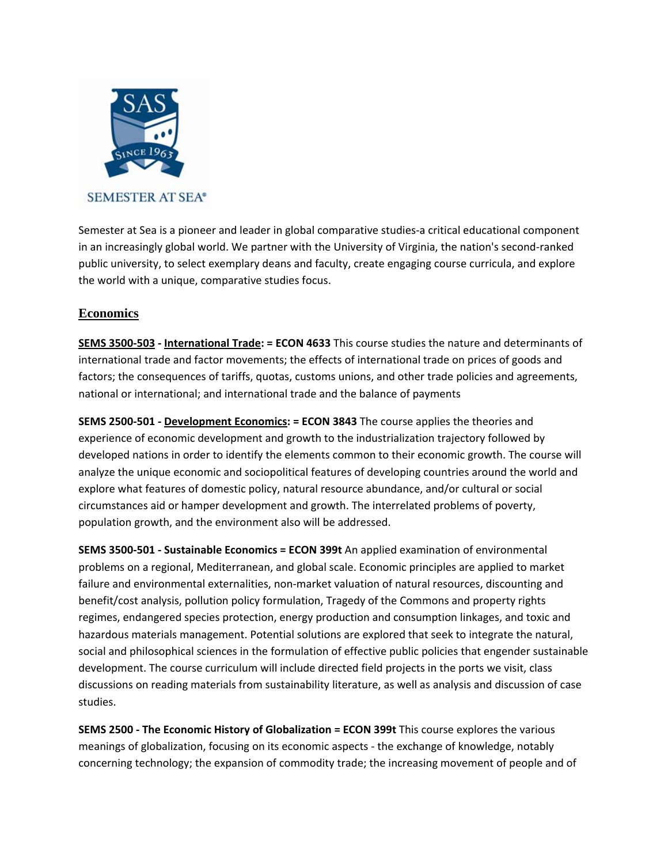

Semester at Sea is a pioneer and leader in global comparative studies‐a critical educational component in an increasingly global world. We partner with the University of Virginia, the nation's second‐ranked public university, to select exemplary deans and faculty, create engaging course curricula, and explore the world with a unique, comparative studies focus.

# **Economics**

**SEMS 3500‐503 ‐ International Trade: = ECON 4633** This course studies the nature and determinants of international trade and factor movements; the effects of international trade on prices of goods and factors; the consequences of tariffs, quotas, customs unions, and other trade policies and agreements, national or international; and international trade and the balance of payments

**SEMS 2500‐501 ‐ Development Economics: = ECON 3843** The course applies the theories and experience of economic development and growth to the industrialization trajectory followed by developed nations in order to identify the elements common to their economic growth. The course will analyze the unique economic and sociopolitical features of developing countries around the world and explore what features of domestic policy, natural resource abundance, and/or cultural or social circumstances aid or hamper development and growth. The interrelated problems of poverty, population growth, and the environment also will be addressed.

**SEMS 3500‐501 ‐ Sustainable Economics = ECON 399t** An applied examination of environmental problems on a regional, Mediterranean, and global scale. Economic principles are applied to market failure and environmental externalities, non-market valuation of natural resources, discounting and benefit/cost analysis, pollution policy formulation, Tragedy of the Commons and property rights regimes, endangered species protection, energy production and consumption linkages, and toxic and hazardous materials management. Potential solutions are explored that seek to integrate the natural, social and philosophical sciences in the formulation of effective public policies that engender sustainable development. The course curriculum will include directed field projects in the ports we visit, class discussions on reading materials from sustainability literature, as well as analysis and discussion of case studies.

**SEMS 2500 ‐ The Economic History of Globalization = ECON 399t** This course explores the various meanings of globalization, focusing on its economic aspects ‐ the exchange of knowledge, notably concerning technology; the expansion of commodity trade; the increasing movement of people and of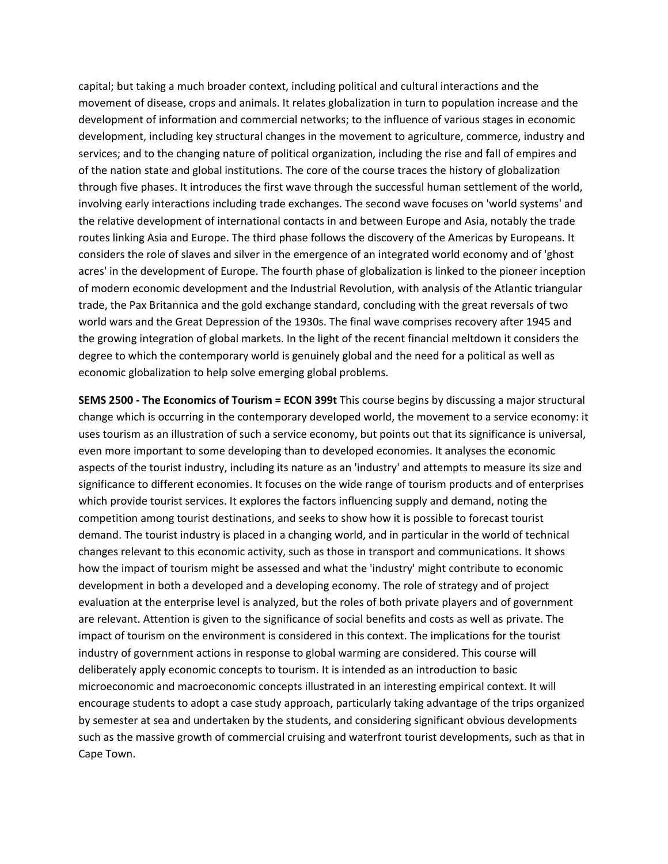capital; but taking a much broader context, including political and cultural interactions and the movement of disease, crops and animals. It relates globalization in turn to population increase and the development of information and commercial networks; to the influence of various stages in economic development, including key structural changes in the movement to agriculture, commerce, industry and services; and to the changing nature of political organization, including the rise and fall of empires and of the nation state and global institutions. The core of the course traces the history of globalization through five phases. It introduces the first wave through the successful human settlement of the world, involving early interactions including trade exchanges. The second wave focuses on 'world systems' and the relative development of international contacts in and between Europe and Asia, notably the trade routes linking Asia and Europe. The third phase follows the discovery of the Americas by Europeans. It considers the role of slaves and silver in the emergence of an integrated world economy and of 'ghost acres' in the development of Europe. The fourth phase of globalization is linked to the pioneer inception of modern economic development and the Industrial Revolution, with analysis of the Atlantic triangular trade, the Pax Britannica and the gold exchange standard, concluding with the great reversals of two world wars and the Great Depression of the 1930s. The final wave comprises recovery after 1945 and the growing integration of global markets. In the light of the recent financial meltdown it considers the degree to which the contemporary world is genuinely global and the need for a political as well as economic globalization to help solve emerging global problems.

**SEMS 2500 ‐ The Economics of Tourism = ECON 399t** This course begins by discussing a major structural change which is occurring in the contemporary developed world, the movement to a service economy: it uses tourism as an illustration of such a service economy, but points out that its significance is universal, even more important to some developing than to developed economies. It analyses the economic aspects of the tourist industry, including its nature as an 'industry' and attempts to measure its size and significance to different economies. It focuses on the wide range of tourism products and of enterprises which provide tourist services. It explores the factors influencing supply and demand, noting the competition among tourist destinations, and seeks to show how it is possible to forecast tourist demand. The tourist industry is placed in a changing world, and in particular in the world of technical changes relevant to this economic activity, such as those in transport and communications. It shows how the impact of tourism might be assessed and what the 'industry' might contribute to economic development in both a developed and a developing economy. The role of strategy and of project evaluation at the enterprise level is analyzed, but the roles of both private players and of government are relevant. Attention is given to the significance of social benefits and costs as well as private. The impact of tourism on the environment is considered in this context. The implications for the tourist industry of government actions in response to global warming are considered. This course will deliberately apply economic concepts to tourism. It is intended as an introduction to basic microeconomic and macroeconomic concepts illustrated in an interesting empirical context. It will encourage students to adopt a case study approach, particularly taking advantage of the trips organized by semester at sea and undertaken by the students, and considering significant obvious developments such as the massive growth of commercial cruising and waterfront tourist developments, such as that in Cape Town.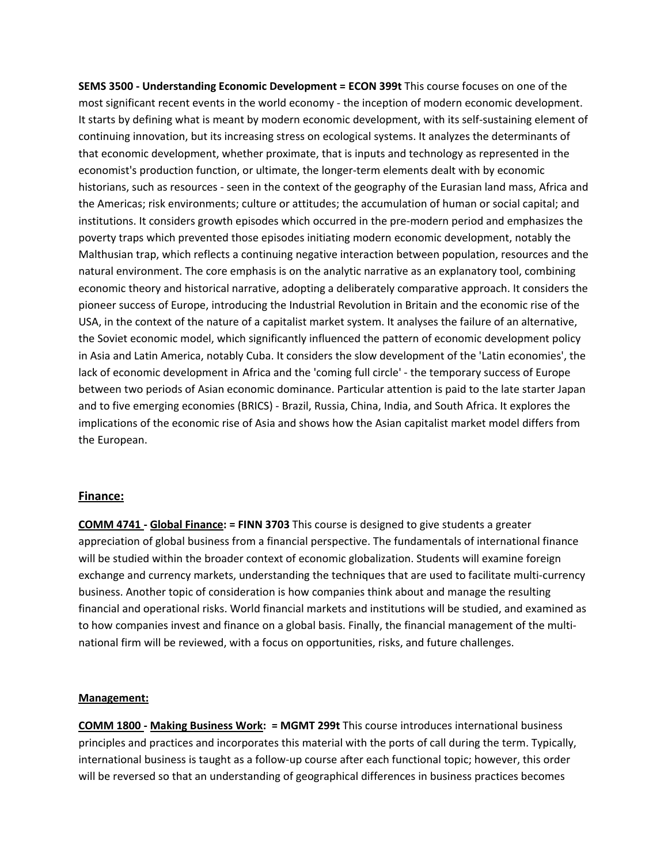**SEMS 3500 ‐ Understanding Economic Development = ECON 399t** This course focuses on one of the most significant recent events in the world economy - the inception of modern economic development. It starts by defining what is meant by modern economic development, with its self-sustaining element of continuing innovation, but its increasing stress on ecological systems. It analyzes the determinants of that economic development, whether proximate, that is inputs and technology as represented in the economist's production function, or ultimate, the longer-term elements dealt with by economic historians, such as resources - seen in the context of the geography of the Eurasian land mass, Africa and the Americas; risk environments; culture or attitudes; the accumulation of human or social capital; and institutions. It considers growth episodes which occurred in the pre-modern period and emphasizes the poverty traps which prevented those episodes initiating modern economic development, notably the Malthusian trap, which reflects a continuing negative interaction between population, resources and the natural environment. The core emphasis is on the analytic narrative as an explanatory tool, combining economic theory and historical narrative, adopting a deliberately comparative approach. It considers the pioneer success of Europe, introducing the Industrial Revolution in Britain and the economic rise of the USA, in the context of the nature of a capitalist market system. It analyses the failure of an alternative, the Soviet economic model, which significantly influenced the pattern of economic development policy in Asia and Latin America, notably Cuba. It considers the slow development of the 'Latin economies', the lack of economic development in Africa and the 'coming full circle' ‐ the temporary success of Europe between two periods of Asian economic dominance. Particular attention is paid to the late starter Japan and to five emerging economies (BRICS) ‐ Brazil, Russia, China, India, and South Africa. It explores the implications of the economic rise of Asia and shows how the Asian capitalist market model differs from the European.

## **Finance:**

**COMM 4741 ‐ Global Finance: = FINN 3703** This course is designed to give students a greater appreciation of global business from a financial perspective. The fundamentals of international finance will be studied within the broader context of economic globalization. Students will examine foreign exchange and currency markets, understanding the techniques that are used to facilitate multi‐currency business. Another topic of consideration is how companies think about and manage the resulting financial and operational risks. World financial markets and institutions will be studied, and examined as to how companies invest and finance on a global basis. Finally, the financial management of the multinational firm will be reviewed, with a focus on opportunities, risks, and future challenges.

#### **Management:**

**COMM 1800 ‐ Making Business Work: = MGMT 299t** This course introduces international business principles and practices and incorporates this material with the ports of call during the term. Typically, international business is taught as a follow‐up course after each functional topic; however, this order will be reversed so that an understanding of geographical differences in business practices becomes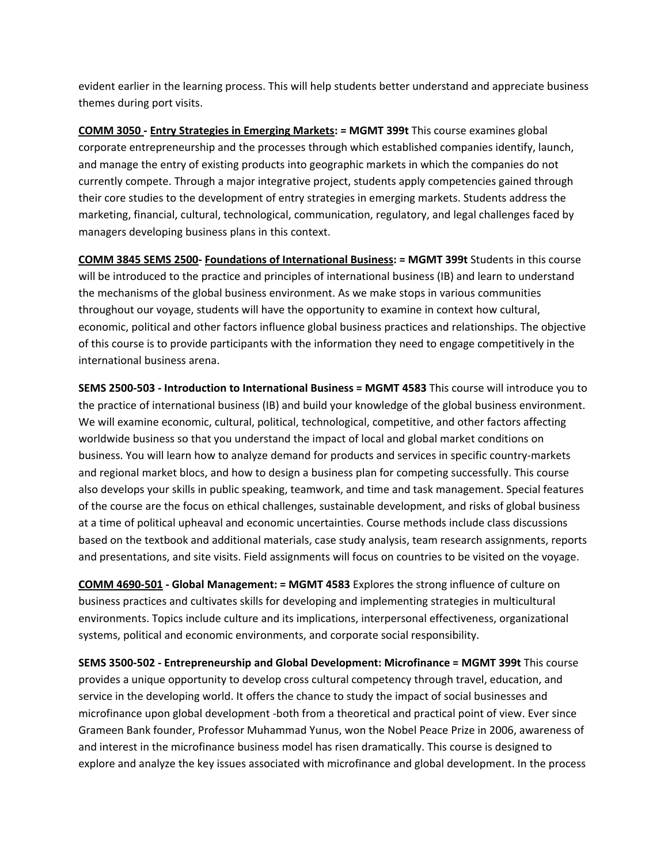evident earlier in the learning process. This will help students better understand and appreciate business themes during port visits.

**COMM 3050 ‐ Entry Strategies in Emerging Markets: = MGMT 399t** This course examines global corporate entrepreneurship and the processes through which established companies identify, launch, and manage the entry of existing products into geographic markets in which the companies do not currently compete. Through a major integrative project, students apply competencies gained through their core studies to the development of entry strategies in emerging markets. Students address the marketing, financial, cultural, technological, communication, regulatory, and legal challenges faced by managers developing business plans in this context.

**COMM 3845 SEMS 2500‐ Foundations of International Business: = MGMT 399t** Students in this course will be introduced to the practice and principles of international business (IB) and learn to understand the mechanisms of the global business environment. As we make stops in various communities throughout our voyage, students will have the opportunity to examine in context how cultural, economic, political and other factors influence global business practices and relationships. The objective of this course is to provide participants with the information they need to engage competitively in the international business arena.

**SEMS 2500‐503 ‐ Introduction to International Business = MGMT 4583** This course will introduce you to the practice of international business (IB) and build your knowledge of the global business environment. We will examine economic, cultural, political, technological, competitive, and other factors affecting worldwide business so that you understand the impact of local and global market conditions on business. You will learn how to analyze demand for products and services in specific country-markets and regional market blocs, and how to design a business plan for competing successfully. This course also develops your skills in public speaking, teamwork, and time and task management. Special features of the course are the focus on ethical challenges, sustainable development, and risks of global business at a time of political upheaval and economic uncertainties. Course methods include class discussions based on the textbook and additional materials, case study analysis, team research assignments, reports and presentations, and site visits. Field assignments will focus on countries to be visited on the voyage.

**COMM 4690‐501 ‐ Global Management: = MGMT 4583** Explores the strong influence of culture on business practices and cultivates skills for developing and implementing strategies in multicultural environments. Topics include culture and its implications, interpersonal effectiveness, organizational systems, political and economic environments, and corporate social responsibility.

**SEMS 3500‐502 ‐ Entrepreneurship and Global Development: Microfinance = MGMT 399t** This course provides a unique opportunity to develop cross cultural competency through travel, education, and service in the developing world. It offers the chance to study the impact of social businesses and microfinance upon global development ‐both from a theoretical and practical point of view. Ever since Grameen Bank founder, Professor Muhammad Yunus, won the Nobel Peace Prize in 2006, awareness of and interest in the microfinance business model has risen dramatically. This course is designed to explore and analyze the key issues associated with microfinance and global development. In the process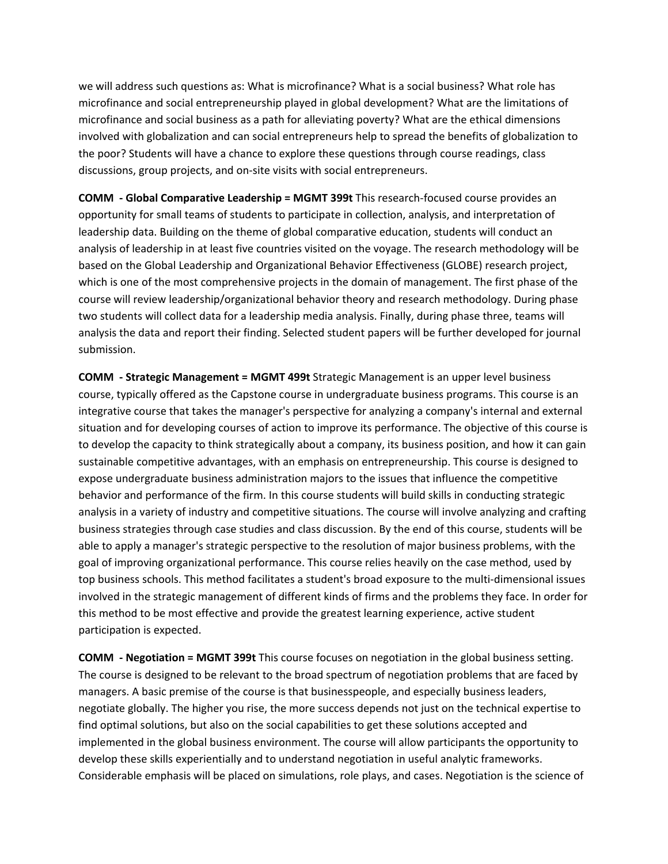we will address such questions as: What is microfinance? What is a social business? What role has microfinance and social entrepreneurship played in global development? What are the limitations of microfinance and social business as a path for alleviating poverty? What are the ethical dimensions involved with globalization and can social entrepreneurs help to spread the benefits of globalization to the poor? Students will have a chance to explore these questions through course readings, class discussions, group projects, and on‐site visits with social entrepreneurs.

**COMM ‐ Global Comparative Leadership = MGMT 399t** This research‐focused course provides an opportunity for small teams of students to participate in collection, analysis, and interpretation of leadership data. Building on the theme of global comparative education, students will conduct an analysis of leadership in at least five countries visited on the voyage. The research methodology will be based on the Global Leadership and Organizational Behavior Effectiveness (GLOBE) research project, which is one of the most comprehensive projects in the domain of management. The first phase of the course will review leadership/organizational behavior theory and research methodology. During phase two students will collect data for a leadership media analysis. Finally, during phase three, teams will analysis the data and report their finding. Selected student papers will be further developed for journal submission.

**COMM ‐ Strategic Management = MGMT 499t** Strategic Management is an upper level business course, typically offered as the Capstone course in undergraduate business programs. This course is an integrative course that takes the manager's perspective for analyzing a company's internal and external situation and for developing courses of action to improve its performance. The objective of this course is to develop the capacity to think strategically about a company, its business position, and how it can gain sustainable competitive advantages, with an emphasis on entrepreneurship. This course is designed to expose undergraduate business administration majors to the issues that influence the competitive behavior and performance of the firm. In this course students will build skills in conducting strategic analysis in a variety of industry and competitive situations. The course will involve analyzing and crafting business strategies through case studies and class discussion. By the end of this course, students will be able to apply a manager's strategic perspective to the resolution of major business problems, with the goal of improving organizational performance. This course relies heavily on the case method, used by top business schools. This method facilitates a student's broad exposure to the multi‐dimensional issues involved in the strategic management of different kinds of firms and the problems they face. In order for this method to be most effective and provide the greatest learning experience, active student participation is expected.

**COMM ‐ Negotiation = MGMT 399t** This course focuses on negotiation in the global business setting. The course is designed to be relevant to the broad spectrum of negotiation problems that are faced by managers. A basic premise of the course is that businesspeople, and especially business leaders, negotiate globally. The higher you rise, the more success depends not just on the technical expertise to find optimal solutions, but also on the social capabilities to get these solutions accepted and implemented in the global business environment. The course will allow participants the opportunity to develop these skills experientially and to understand negotiation in useful analytic frameworks. Considerable emphasis will be placed on simulations, role plays, and cases. Negotiation is the science of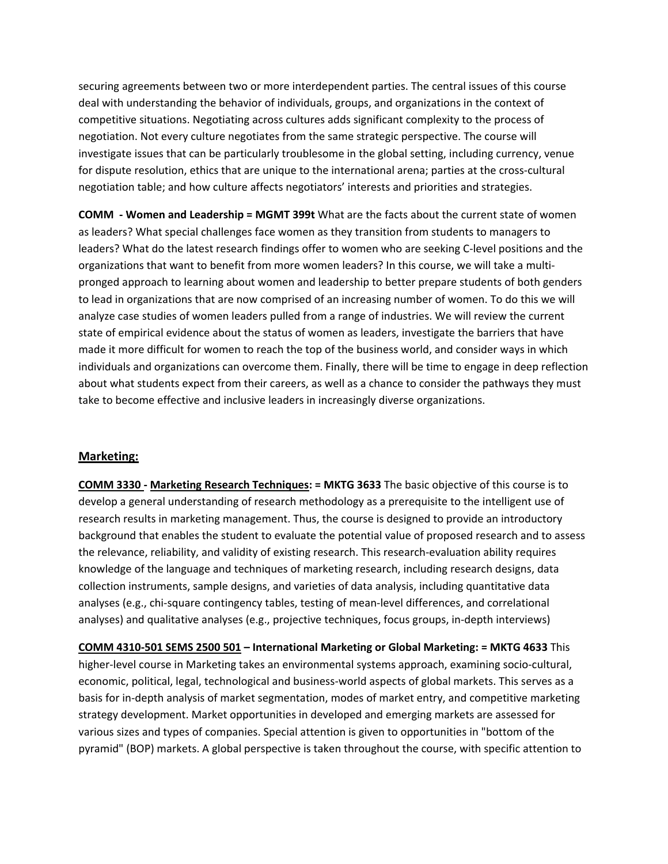securing agreements between two or more interdependent parties. The central issues of this course deal with understanding the behavior of individuals, groups, and organizations in the context of competitive situations. Negotiating across cultures adds significant complexity to the process of negotiation. Not every culture negotiates from the same strategic perspective. The course will investigate issues that can be particularly troublesome in the global setting, including currency, venue for dispute resolution, ethics that are unique to the international arena; parties at the cross-cultural negotiation table; and how culture affects negotiators' interests and priorities and strategies.

**COMM ‐ Women and Leadership = MGMT 399t** What are the facts about the current state of women as leaders? What special challenges face women as they transition from students to managers to leaders? What do the latest research findings offer to women who are seeking C‐level positions and the organizations that want to benefit from more women leaders? In this course, we will take a multi‐ pronged approach to learning about women and leadership to better prepare students of both genders to lead in organizations that are now comprised of an increasing number of women. To do this we will analyze case studies of women leaders pulled from a range of industries. We will review the current state of empirical evidence about the status of women as leaders, investigate the barriers that have made it more difficult for women to reach the top of the business world, and consider ways in which individuals and organizations can overcome them. Finally, there will be time to engage in deep reflection about what students expect from their careers, as well as a chance to consider the pathways they must take to become effective and inclusive leaders in increasingly diverse organizations.

## **Marketing:**

**COMM 3330 ‐ Marketing Research Techniques: = MKTG 3633** The basic objective of this course is to develop a general understanding of research methodology as a prerequisite to the intelligent use of research results in marketing management. Thus, the course is designed to provide an introductory background that enables the student to evaluate the potential value of proposed research and to assess the relevance, reliability, and validity of existing research. This research‐evaluation ability requires knowledge of the language and techniques of marketing research, including research designs, data collection instruments, sample designs, and varieties of data analysis, including quantitative data analyses (e.g., chi‐square contingency tables, testing of mean‐level differences, and correlational analyses) and qualitative analyses (e.g., projective techniques, focus groups, in‐depth interviews)

**COMM 4310‐501 SEMS 2500 501 – International Marketing or Global Marketing: = MKTG 4633** This higher‐level course in Marketing takes an environmental systems approach, examining socio‐cultural, economic, political, legal, technological and business‐world aspects of global markets. This serves as a basis for in‐depth analysis of market segmentation, modes of market entry, and competitive marketing strategy development. Market opportunities in developed and emerging markets are assessed for various sizes and types of companies. Special attention is given to opportunities in "bottom of the pyramid" (BOP) markets. A global perspective is taken throughout the course, with specific attention to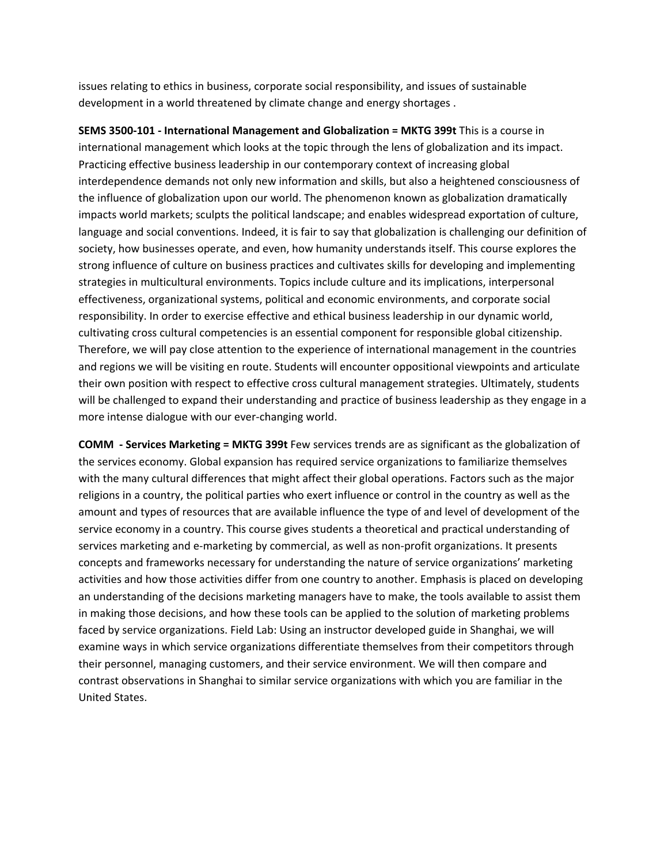issues relating to ethics in business, corporate social responsibility, and issues of sustainable development in a world threatened by climate change and energy shortages .

**SEMS 3500‐101 ‐ International Management and Globalization = MKTG 399t** This is a course in international management which looks at the topic through the lens of globalization and its impact. Practicing effective business leadership in our contemporary context of increasing global interdependence demands not only new information and skills, but also a heightened consciousness of the influence of globalization upon our world. The phenomenon known as globalization dramatically impacts world markets; sculpts the political landscape; and enables widespread exportation of culture, language and social conventions. Indeed, it is fair to say that globalization is challenging our definition of society, how businesses operate, and even, how humanity understands itself. This course explores the strong influence of culture on business practices and cultivates skills for developing and implementing strategies in multicultural environments. Topics include culture and its implications, interpersonal effectiveness, organizational systems, political and economic environments, and corporate social responsibility. In order to exercise effective and ethical business leadership in our dynamic world, cultivating cross cultural competencies is an essential component for responsible global citizenship. Therefore, we will pay close attention to the experience of international management in the countries and regions we will be visiting en route. Students will encounter oppositional viewpoints and articulate their own position with respect to effective cross cultural management strategies. Ultimately, students will be challenged to expand their understanding and practice of business leadership as they engage in a more intense dialogue with our ever‐changing world.

**COMM ‐ Services Marketing = MKTG 399t** Few services trends are as significant as the globalization of the services economy. Global expansion has required service organizations to familiarize themselves with the many cultural differences that might affect their global operations. Factors such as the major religions in a country, the political parties who exert influence or control in the country as well as the amount and types of resources that are available influence the type of and level of development of the service economy in a country. This course gives students a theoretical and practical understanding of services marketing and e-marketing by commercial, as well as non-profit organizations. It presents concepts and frameworks necessary for understanding the nature of service organizations' marketing activities and how those activities differ from one country to another. Emphasis is placed on developing an understanding of the decisions marketing managers have to make, the tools available to assist them in making those decisions, and how these tools can be applied to the solution of marketing problems faced by service organizations. Field Lab: Using an instructor developed guide in Shanghai, we will examine ways in which service organizations differentiate themselves from their competitors through their personnel, managing customers, and their service environment. We will then compare and contrast observations in Shanghai to similar service organizations with which you are familiar in the United States.